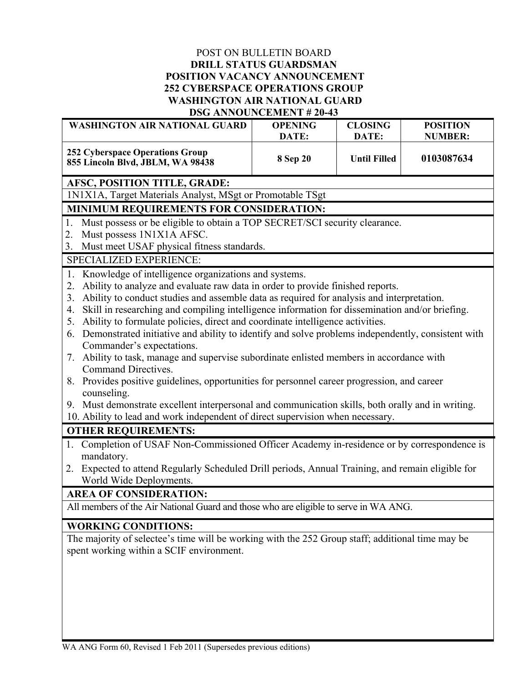#### POST ON BULLETIN BOARD **DRILL STATUS GUARDSMAN POSITION VACANCY ANNOUNCEMENT 252 CYBERSPACE OPERATIONS GROUP WASHINGTON AIR NATIONAL GUARD DSG ANNOUNCEMENT # 20-43**

| DOG ANNOUNCEMENT # 20-49                                                                                |                |                     |                 |
|---------------------------------------------------------------------------------------------------------|----------------|---------------------|-----------------|
| <b>WASHINGTON AIR NATIONAL GUARD</b>                                                                    | <b>OPENING</b> | <b>CLOSING</b>      | <b>POSITION</b> |
|                                                                                                         | DATE:          | DATE:               | <b>NUMBER:</b>  |
| <b>252 Cyberspace Operations Group</b><br>855 Lincoln Blvd, JBLM, WA 98438                              | 8 Sep 20       | <b>Until Filled</b> | 0103087634      |
| AFSC, POSITION TITLE, GRADE:                                                                            |                |                     |                 |
| 1N1X1A, Target Materials Analyst, MSgt or Promotable TSgt                                               |                |                     |                 |
| MINIMUM REQUIREMENTS FOR CONSIDERATION:                                                                 |                |                     |                 |
| Must possess or be eligible to obtain a TOP SECRET/SCI security clearance.<br>1.                        |                |                     |                 |
| Must possess 1N1X1A AFSC.<br>2.                                                                         |                |                     |                 |
| Must meet USAF physical fitness standards.<br>3.                                                        |                |                     |                 |
| SPECIALIZED EXPERIENCE:                                                                                 |                |                     |                 |
| Knowledge of intelligence organizations and systems.<br>1.                                              |                |                     |                 |
| Ability to analyze and evaluate raw data in order to provide finished reports.<br>2.                    |                |                     |                 |
| Ability to conduct studies and assemble data as required for analysis and interpretation.<br>3.         |                |                     |                 |
| Skill in researching and compiling intelligence information for dissemination and/or briefing.<br>4.    |                |                     |                 |
| Ability to formulate policies, direct and coordinate intelligence activities.<br>5.                     |                |                     |                 |
| Demonstrated initiative and ability to identify and solve problems independently, consistent with<br>6. |                |                     |                 |
| Commander's expectations.                                                                               |                |                     |                 |
| Ability to task, manage and supervise subordinate enlisted members in accordance with<br>7.             |                |                     |                 |
| Command Directives.                                                                                     |                |                     |                 |
| 8. Provides positive guidelines, opportunities for personnel career progression, and career             |                |                     |                 |
| counseling.                                                                                             |                |                     |                 |
| 9. Must demonstrate excellent interpersonal and communication skills, both orally and in writing.       |                |                     |                 |
| 10. Ability to lead and work independent of direct supervision when necessary.                          |                |                     |                 |
| <b>OTHER REQUIREMENTS:</b>                                                                              |                |                     |                 |
| 1. Completion of USAF Non-Commissioned Officer Academy in-residence or by correspondence is             |                |                     |                 |
| mandatory.                                                                                              |                |                     |                 |
| Expected to attend Regularly Scheduled Drill periods, Annual Training, and remain eligible for<br>2.    |                |                     |                 |
| World Wide Deployments.                                                                                 |                |                     |                 |
| <b>AREA OF CONSIDERATION:</b>                                                                           |                |                     |                 |
| All members of the Air National Guard and those who are eligible to serve in WA ANG.                    |                |                     |                 |
| <b>WORKING CONDITIONS:</b>                                                                              |                |                     |                 |
| The majority of selectee's time will be working with the 252 Group staff; additional time may be        |                |                     |                 |
| spent working within a SCIF environment.                                                                |                |                     |                 |
|                                                                                                         |                |                     |                 |
|                                                                                                         |                |                     |                 |
|                                                                                                         |                |                     |                 |
|                                                                                                         |                |                     |                 |